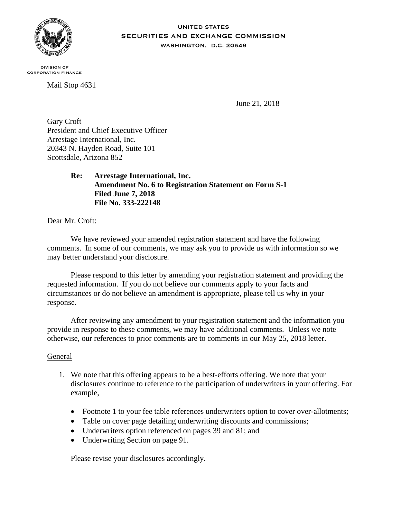

#### **UNITED STATES SECURITIES AND EXCHANGE COMMISSION** WASHINGTON, D.C. 20549

**DIVISION OF CORPORATION FINANCE** 

Mail Stop 4631

June 21, 2018

Gary Croft President and Chief Executive Officer Arrestage International, Inc. 20343 N. Hayden Road, Suite 101 Scottsdale, Arizona 852

> **Re: Arrestage International, Inc. Amendment No. 6 to Registration Statement on Form S-1 Filed June 7, 2018 File No. 333-222148**

Dear Mr. Croft:

We have reviewed your amended registration statement and have the following comments. In some of our comments, we may ask you to provide us with information so we may better understand your disclosure.

Please respond to this letter by amending your registration statement and providing the requested information. If you do not believe our comments apply to your facts and circumstances or do not believe an amendment is appropriate, please tell us why in your response.

After reviewing any amendment to your registration statement and the information you provide in response to these comments, we may have additional comments. Unless we note otherwise, our references to prior comments are to comments in our May 25, 2018 letter.

# General

- 1. We note that this offering appears to be a best-efforts offering. We note that your disclosures continue to reference to the participation of underwriters in your offering. For example,
	- Footnote 1 to your fee table references underwriters option to cover over-allotments;
	- Table on cover page detailing underwriting discounts and commissions;
	- Underwriters option referenced on pages 39 and 81; and
	- Underwriting Section on page 91.

Please revise your disclosures accordingly.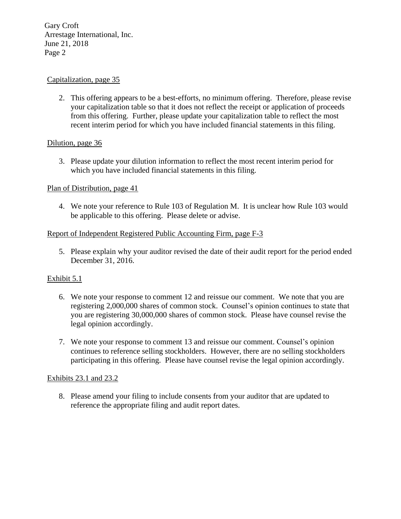Gary Croft Arrestage International, Inc. June 21, 2018 Page 2

## Capitalization, page 35

2. This offering appears to be a best-efforts, no minimum offering. Therefore, please revise your capitalization table so that it does not reflect the receipt or application of proceeds from this offering. Further, please update your capitalization table to reflect the most recent interim period for which you have included financial statements in this filing.

## Dilution, page 36

3. Please update your dilution information to reflect the most recent interim period for which you have included financial statements in this filing.

## Plan of Distribution, page 41

4. We note your reference to Rule 103 of Regulation M. It is unclear how Rule 103 would be applicable to this offering. Please delete or advise.

## Report of Independent Registered Public Accounting Firm, page F-3

5. Please explain why your auditor revised the date of their audit report for the period ended December 31, 2016.

# Exhibit 5.1

- 6. We note your response to comment 12 and reissue our comment. We note that you are registering 2,000,000 shares of common stock. Counsel's opinion continues to state that you are registering 30,000,000 shares of common stock. Please have counsel revise the legal opinion accordingly.
- 7. We note your response to comment 13 and reissue our comment. Counsel's opinion continues to reference selling stockholders. However, there are no selling stockholders participating in this offering. Please have counsel revise the legal opinion accordingly.

#### Exhibits 23.1 and 23.2

8. Please amend your filing to include consents from your auditor that are updated to reference the appropriate filing and audit report dates.